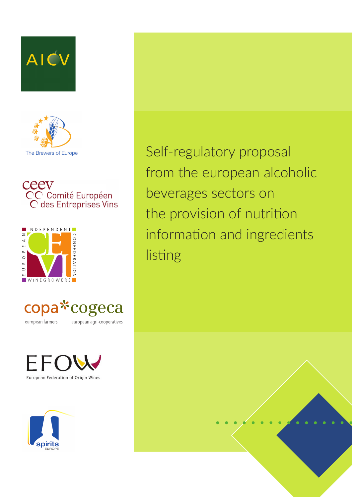









european farmers

european agri-cooperatives





Self-regulatory proposal from the european alcoholic beverages sectors on the provision of nutrition information and ingredients listing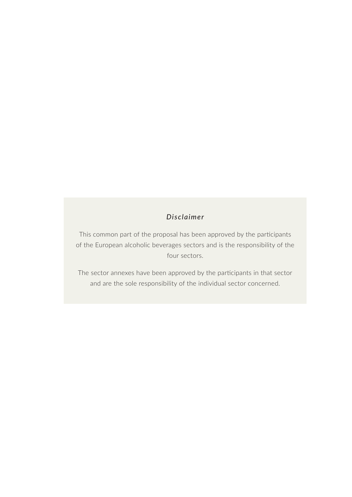#### *Disclaimer*

This common part of the proposal has been approved by the participants of the European alcoholic beverages sectors and is the responsibility of the four sectors.

The sector annexes have been approved by the participants in that sector and are the sole responsibility of the individual sector concerned.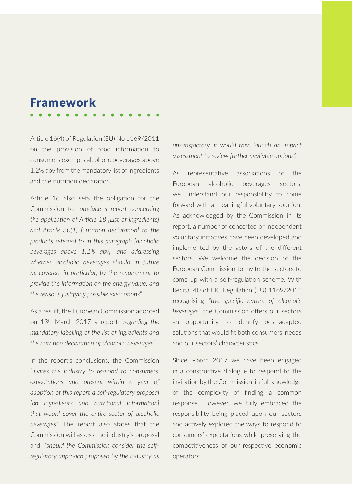## Framework

Article 16(4) of Regulation (EU) No 1169/2011 on the provision of food information to consumers exempts alcoholic beverages above 1.2% abv from the mandatory list of ingredients and the nutrition declaration.

Article 16 also sets the obligation for the Commission to "*produce a report concerning the application of Article 18 [List of ingredients] and Article 30(1) [nutrition declaration] to the products referred to in this paragraph [alcoholic beverages above 1.2% abv], and addressing whether alcoholic beverages should in future be covered, in particular, by the requirement to provide the information on the energy value, and the reasons justifying possible exemptions*".

As a result, the European Commission adopted on 13th March 2017 a report *"regarding the mandatory labelling of the list of ingredients and the nutrition declaration of alcoholic beverages"*.

In the report's conclusions, the Commission *"invites the industry to respond to consumers' expectations and present within a year of adoption of this report a self-regulatory proposal [on ingredients and nutritional information] that would cover the entire sector of alcoholic beverages".* The report also states that the Commission will assess the industry's proposal and, *"should the Commission consider the selfregulatory approach proposed by the industry as*  *unsatisfactory, it would then launch an impact assessment to review further available options".*

As representative associations of the European alcoholic beverages sectors, we understand our responsibility to come forward with a meaningful voluntary solution. As acknowledged by the Commission in its report, a number of concerted or independent voluntary initiatives have been developed and implemented by the actors of the different sectors. We welcome the decision of the European Commission to invite the sectors to come up with a self-regulation scheme. With Recital 40 of FIC Regulation (EU) 1169/2011 recognising *"the specific nature of alcoholic beverages*" the Commission offers our sectors an opportunity to identify best-adapted solutions that would fit both consumers' needs and our sectors' characteristics.

Since March 2017 we have been engaged in a constructive dialogue to respond to the invitation by the Commission, in full knowledge of the complexity of finding a common response. However, we fully embraced the responsibility being placed upon our sectors and actively explored the ways to respond to consumers' expectations while preserving the competitiveness of our respective economic operators.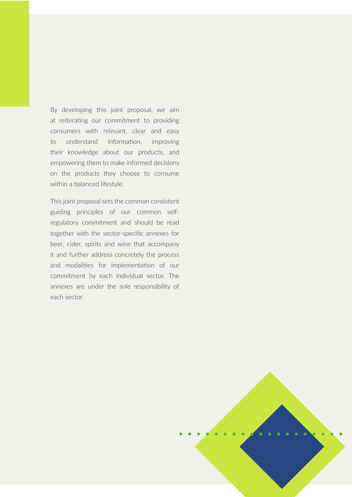By developing this joint proposal, we aim at reiterating our commitment to providing consumers with relevant, clear and easy to understand information, improving their knowledge about our products, and empowering them to make informed decisions on the products they choose to consume within a balanced lifestyle.

This joint proposal sets the common consistent guiding principles of our common selfregulatory commitment and should be read together with the sector-specific annexes for beer, cider, spirits and wine that accompany it and further address concretely the process and modalities for implementation of our commitment by each individual sector. The annexes are under the sole responsibility of each sector.

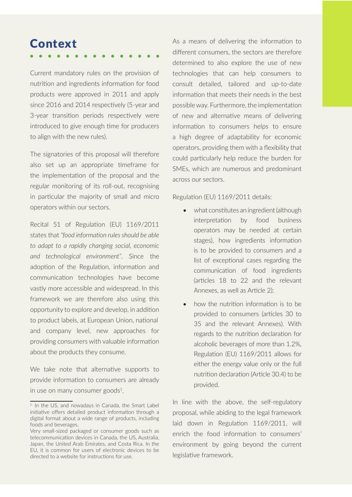# **Context**

Current mandatory rules on the provision of nutrition and ingredients information for food products were approved in 2011 and apply since 2016 and 2014 respectively (5-year and 3-year transition periods respectively were introduced to give enough time for producers to align with the new rules).

The signatories of this proposal will therefore also set up an appropriate timeframe for the implementation of the proposal and the regular monitoring of its roll-out, recognising in particular the majority of small and micro operators within our sectors.

Recital 51 of Regulation (EU) 1169/2011 states that *"food information rules should be able to adapt to a rapidly changing social, economic and technological environment"*. Since the adoption of the Regulation, information and communication technologies have become vastly more accessible and widespread. In this framework we are therefore also using this opportunity to explore and develop, in addition to product labels, at European Union, national and company level, new approaches for providing consumers with valuable information about the products they consume.

We take note that alternative supports to provide information to consumers are already in use on many consumer goods<sup>1</sup>.

As a means of delivering the information to different consumers, the sectors are therefore determined to also explore the use of new technologies that can help consumers to consult detailed, tailored and up-to-date information that meets their needs in the best possible way. Furthermore, the implementation of new and alternative means of delivering information to consumers helps to ensure a high degree of adaptability for economic operators, providing them with a flexibility that could particularly help reduce the burden for SMEs, which are numerous and predominant across our sectors.

Regulation (EU) 1169/2011 details:

- what constitutes an ingredient (although interpretation by food business operators may be needed at certain stages), how ingredients information is to be provided to consumers and a list of exceptional cases regarding the communication of food ingredients (articles 18 to 22 and the relevant Annexes, as well as Article 2);
- how the nutrition information is to be provided to consumers (articles 30 to 35 and the relevant Annexes). With regards to the nutrition declaration for alcoholic beverages of more than 1.2%, Regulation (EU) 1169/2011 allows for either the energy value only or the full nutrition declaration (Article 30.4) to be provided.

In line with the above, the self-regulatory proposal, while abiding to the legal framework laid down in Regulation 1169/2011, will enrich the food information to consumers' environment by going beyond the current legislative framework.

<sup>&</sup>lt;sup>1.</sup> In the US, and nowadays in Canada, the Smart Label initiative offers detailed product information through a digital format about a wide range of products, including foods and beverages.

Very small-sized packaged or consumer goods such as telecommunication devices in Canada, the US, Australia, Japan, the United Arab Emirates, and Costa Rica. In the EU, it is common for users of electronic devices to be directed to a website for instructions for use.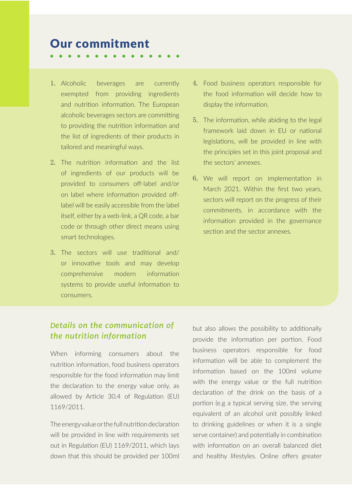## Our commitment

- 
- 1. Alcoholic beverages are currently exempted from providing ingredients and nutrition information. The European alcoholic beverages sectors are committing to providing the nutrition information and the list of ingredients of their products in tailored and meaningful ways.
- 2. The nutrition information and the list of ingredients of our products will be provided to consumers off-label and/or on label where information provided offlabel will be easily accessible from the label itself, either by a web-link, a QR code, a bar code or through other direct means using smart technologies.
- 3. The sectors will use traditional and/ or innovative tools and may develop comprehensive modern information systems to provide useful information to consumers.
- 4. Food business operators responsible for the food information will decide how to display the information.
- 5. The information, while abiding to the legal framework laid down in EU or national legislations, will be provided in line with the principles set in this joint proposal and the sectors' annexes.
- 6. We will report on implementation in March 2021. Within the first two years, sectors will report on the progress of their commitments, in accordance with the information provided in the governance section and the sector annexes.

## *Details on the communication of the nutrition information*

When informing consumers about the nutrition information, food business operators responsible for the food information may limit the declaration to the energy value only, as allowed by Article 30.4 of Regulation (EU) 1169/2011.

The energy value or the full nutrition declaration will be provided in line with requirements set out in Regulation (EU) 1169/2011, which lays down that this should be provided per 100ml but also allows the possibility to additionally provide the information per portion. Food business operators responsible for food information will be able to complement the information based on the 100ml volume with the energy value or the full nutrition declaration of the drink on the basis of a portion (e.g a typical serving size, the serving equivalent of an alcohol unit possibly linked to drinking guidelines or when it is a single serve container) and potentially in combination with information on an overall balanced diet and healthy lifestyles. Online offers greater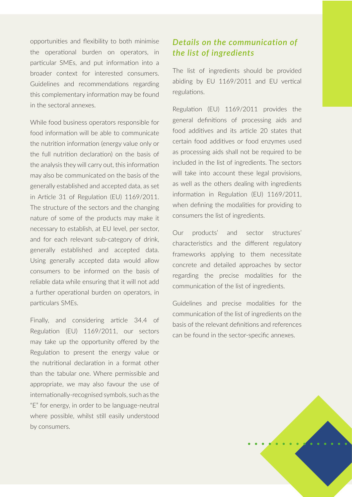opportunities and flexibility to both minimise the operational burden on operators, in particular SMEs, and put information into a broader context for interested consumers. Guidelines and recommendations regarding this complementary information may be found in the sectoral annexes.

While food business operators responsible for food information will be able to communicate the nutrition information (energy value only or the full nutrition declaration) on the basis of the analysis they will carry out, this information may also be communicated on the basis of the generally established and accepted data, as set in Article 31 of Regulation (EU) 1169/2011. The structure of the sectors and the changing nature of some of the products may make it necessary to establish, at EU level, per sector, and for each relevant sub-category of drink, generally established and accepted data. Using generally accepted data would allow consumers to be informed on the basis of reliable data while ensuring that it will not add a further operational burden on operators, in particulars SMEs.

Finally, and considering article 34.4 of Regulation (EU) 1169/2011, our sectors may take up the opportunity offered by the Regulation to present the energy value or the nutritional declaration in a format other than the tabular one. Where permissible and appropriate, we may also favour the use of internationally-recognised symbols, such as the "E" for energy, in order to be language-neutral where possible, whilst still easily understood by consumers.

### *Details on the communication of the list of ingredients*

The list of ingredients should be provided abiding by EU 1169/2011 and EU vertical regulations.

Regulation (EU) 1169/2011 provides the general definitions of processing aids and food additives and its article 20 states that certain food additives or food enzymes used as processing aids shall not be required to be included in the list of ingredients. The sectors will take into account these legal provisions. as well as the others dealing with ingredients information in Regulation (EU) 1169/2011, when defining the modalities for providing to consumers the list of ingredients.

Our products' and sector structures' characteristics and the different regulatory frameworks applying to them necessitate concrete and detailed approaches by sector regarding the precise modalities for the communication of the list of ingredients.

Guidelines and precise modalities for the communication of the list of ingredients on the basis of the relevant definitions and references can be found in the sector-specific annexes.

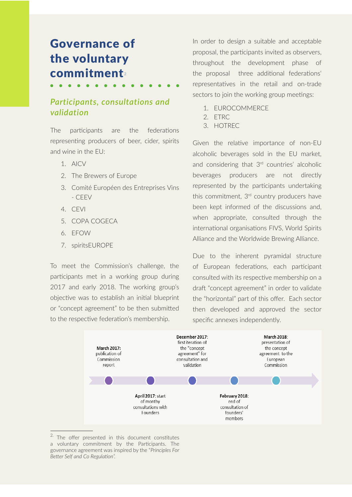# Governance of the voluntary commitment<sup>2</sup>

#### *Participants, consultations and validation*

The participants are the federations representing producers of beer, cider, spirits and wine in the EU:

- 1. AICV
- 2. The Brewers of Europe
- 3. Comité Européen des Entreprises Vins - CEEV
- 4. CEVI
- 5. COPA COGECA
- 6. EFOW
- 7. spiritsEUROPE

To meet the Commission's challenge, the participants met in a working group during 2017 and early 2018. The working group's objective was to establish an initial blueprint or "concept agreement" to be then submitted to the respective federation's membership.

In order to design a suitable and acceptable proposal, the participants invited as observers, throughout the development phase of the proposal three additional federations' representatives in the retail and on-trade sectors to join the working group meetings:

- 1. EUROCOMMERCE
- 2. ETRC
- 3. HOTREC

Given the relative importance of non-EU alcoholic beverages sold in the EU market, and considering that 3rd countries' alcoholic beverages producers are not directly represented by the participants undertaking this commitment, 3<sup>rd</sup> country producers have been kept informed of the discussions and, when appropriate, consulted through the international organisations FIVS, World Spirits Alliance and the Worldwide Brewing Alliance.

Due to the inherent pyramidal structure of European federations, each participant consulted with its respective membership on a draft "concept agreement" in order to validate the "horizontal" part of this offer. Each sector then developed and approved the sector specific annexes independently.



<sup>&</sup>lt;sup>2.</sup> The offer presented in this document constitutes a voluntary commitment by the Participants. The governance agreement was inspired by the "*Principles For Better Self and Co Regulation".*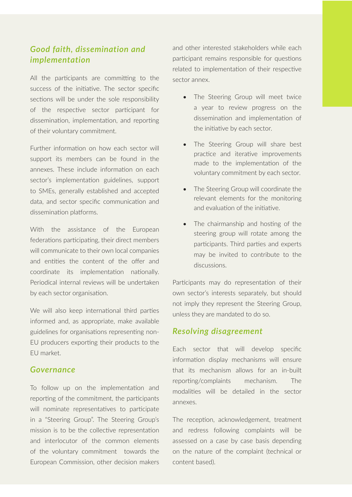#### *Good faith, dissemination and implementation*

All the participants are committing to the success of the initiative. The sector specific sections will be under the sole responsibility of the respective sector participant for dissemination, implementation, and reporting of their voluntary commitment.

Further information on how each sector will support its members can be found in the annexes. These include information on each sector's implementation guidelines, support to SMEs, generally established and accepted data, and sector specific communication and dissemination platforms.

With the assistance of the European federations participating, their direct members will communicate to their own local companies and entities the content of the offer and coordinate its implementation nationally. Periodical internal reviews will be undertaken by each sector organisation.

We will also keep international third parties informed and, as appropriate, make available guidelines for organisations representing non-EU producers exporting their products to the EU market.

#### *Governance*

To follow up on the implementation and reporting of the commitment, the participants will nominate representatives to participate in a "Steering Group". The Steering Group's mission is to be the collective representation and interlocutor of the common elements of the voluntary commitment towards the European Commission, other decision makers

and other interested stakeholders while each participant remains responsible for questions related to implementation of their respective sector annex.

- The Steering Group will meet twice a year to review progress on the dissemination and implementation of the initiative by each sector.
- The Steering Group will share best practice and iterative improvements made to the implementation of the voluntary commitment by each sector.
- The Steering Group will coordinate the relevant elements for the monitoring and evaluation of the initiative.
- The chairmanship and hosting of the steering group will rotate among the participants. Third parties and experts may be invited to contribute to the discussions.

Participants may do representation of their own sector's interests separately, but should not imply they represent the Steering Group, unless they are mandated to do so.

#### *Resolving disagreement*

Each sector that will develop specific information display mechanisms will ensure that its mechanism allows for an in-built reporting/complaints mechanism. The modalities will be detailed in the sector annexes.

The reception, acknowledgement, treatment and redress following complaints will be assessed on a case by case basis depending on the nature of the complaint (technical or content based).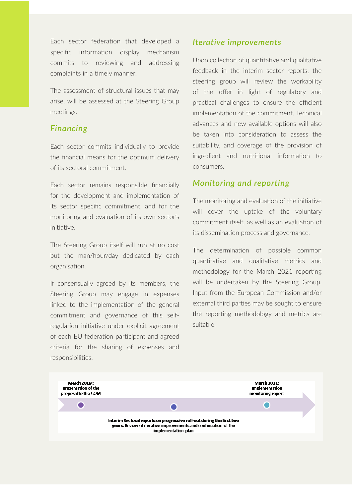Each sector federation that developed a specific information display mechanism commits to reviewing and addressing complaints in a timely manner.

The assessment of structural issues that may arise, will be assessed at the Steering Group meetings.

#### *Financing*

Each sector commits individually to provide the financial means for the optimum delivery of its sectoral commitment.

Each sector remains responsible financially for the development and implementation of its sector specific commitment, and for the monitoring and evaluation of its own sector's initiative.

The Steering Group itself will run at no cost but the man/hour/day dedicated by each organisation.

If consensually agreed by its members, the Steering Group may engage in expenses linked to the implementation of the general commitment and governance of this selfregulation initiative under explicit agreement of each EU federation participant and agreed criteria for the sharing of expenses and responsibilities.

#### *Iterative improvements*

Upon collection of quantitative and qualitative feedback in the interim sector reports, the steering group will review the workability of the offer in light of regulatory and practical challenges to ensure the efficient implementation of the commitment. Technical advances and new available options will also be taken into consideration to assess the suitability, and coverage of the provision of ingredient and nutritional information to consumers.

#### *Monitoring and reporting*

The monitoring and evaluation of the initiative will cover the uptake of the voluntary commitment itself, as well as an evaluation of its dissemination process and governance.

The determination of possible common quantitative and qualitative metrics and methodology for the March 2021 reporting will be undertaken by the Steering Group. Input from the European Commission and/or external third parties may be sought to ensure the reporting methodology and metrics are suitable.

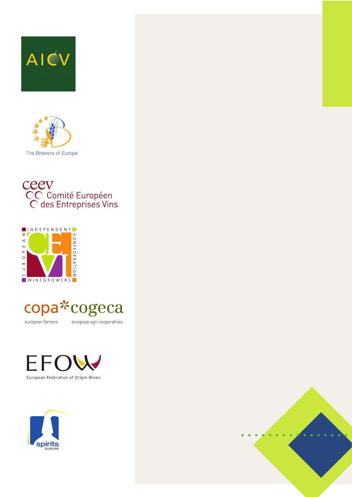









european farmers

european agri-cooperatives